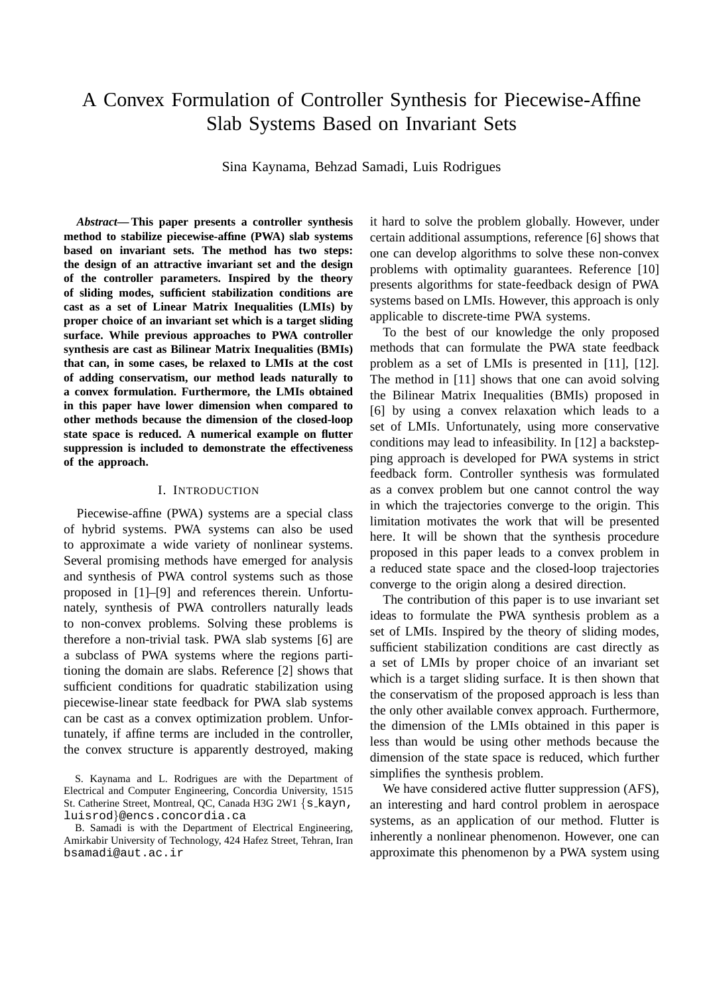# A Convex Formulation of Controller Synthesis for Piecewise-Affine Slab Systems Based on Invariant Sets

Sina Kaynama, Behzad Samadi, Luis Rodrigues

*Abstract***— This paper presents a controller synthesis method to stabilize piecewise-affine (PWA) slab systems based on invariant sets. The method has two steps: the design of an attractive invariant set and the design of the controller parameters. Inspired by the theory of sliding modes, sufficient stabilization conditions are cast as a set of Linear Matrix Inequalities (LMIs) by proper choice of an invariant set which is a target sliding surface. While previous approaches to PWA controller synthesis are cast as Bilinear Matrix Inequalities (BMIs) that can, in some cases, be relaxed to LMIs at the cost of adding conservatism, our method leads naturally to a convex formulation. Furthermore, the LMIs obtained in this paper have lower dimension when compared to other methods because the dimension of the closed-loop state space is reduced. A numerical example on flutter suppression is included to demonstrate the effectiveness of the approach.**

### I. INTRODUCTION

Piecewise-affine (PWA) systems are a special class of hybrid systems. PWA systems can also be used to approximate a wide variety of nonlinear systems. Several promising methods have emerged for analysis and synthesis of PWA control systems such as those proposed in [1]–[9] and references therein. Unfortunately, synthesis of PWA controllers naturally leads to non-convex problems. Solving these problems is therefore a non-trivial task. PWA slab systems [6] are a subclass of PWA systems where the regions partitioning the domain are slabs. Reference [2] shows that sufficient conditions for quadratic stabilization using piecewise-linear state feedback for PWA slab systems can be cast as a convex optimization problem. Unfortunately, if affine terms are included in the controller, the convex structure is apparently destroyed, making it hard to solve the problem globally. However, under certain additional assumptions, reference [6] shows that one can develop algorithms to solve these non-convex problems with optimality guarantees. Reference [10] presents algorithms for state-feedback design of PWA systems based on LMIs. However, this approach is only applicable to discrete-time PWA systems.

To the best of our knowledge the only proposed methods that can formulate the PWA state feedback problem as a set of LMIs is presented in [11], [12]. The method in [11] shows that one can avoid solving the Bilinear Matrix Inequalities (BMIs) proposed in [6] by using a convex relaxation which leads to a set of LMIs. Unfortunately, using more conservative conditions may lead to infeasibility. In [12] a backstepping approach is developed for PWA systems in strict feedback form. Controller synthesis was formulated as a convex problem but one cannot control the way in which the trajectories converge to the origin. This limitation motivates the work that will be presented here. It will be shown that the synthesis procedure proposed in this paper leads to a convex problem in a reduced state space and the closed-loop trajectories converge to the origin along a desired direction.

The contribution of this paper is to use invariant set ideas to formulate the PWA synthesis problem as a set of LMIs. Inspired by the theory of sliding modes, sufficient stabilization conditions are cast directly as a set of LMIs by proper choice of an invariant set which is a target sliding surface. It is then shown that the conservatism of the proposed approach is less than the only other available convex approach. Furthermore, the dimension of the LMIs obtained in this paper is less than would be using other methods because the dimension of the state space is reduced, which further simplifies the synthesis problem.

We have considered active flutter suppression (AFS), an interesting and hard control problem in aerospace systems, as an application of our method. Flutter is inherently a nonlinear phenomenon. However, one can approximate this phenomenon by a PWA system using

S. Kaynama and L. Rodrigues are with the Department of Electrical and Computer Engineering, Concordia University, 1515 St. Catherine Street, Montreal, QC, Canada H3G 2W1  $\{s_{\text{1}}\}$ luisrod}@encs.concordia.ca

B. Samadi is with the Department of Electrical Engineering, Amirkabir University of Technology, 424 Hafez Street, Tehran, Iran bsamadi@aut.ac.ir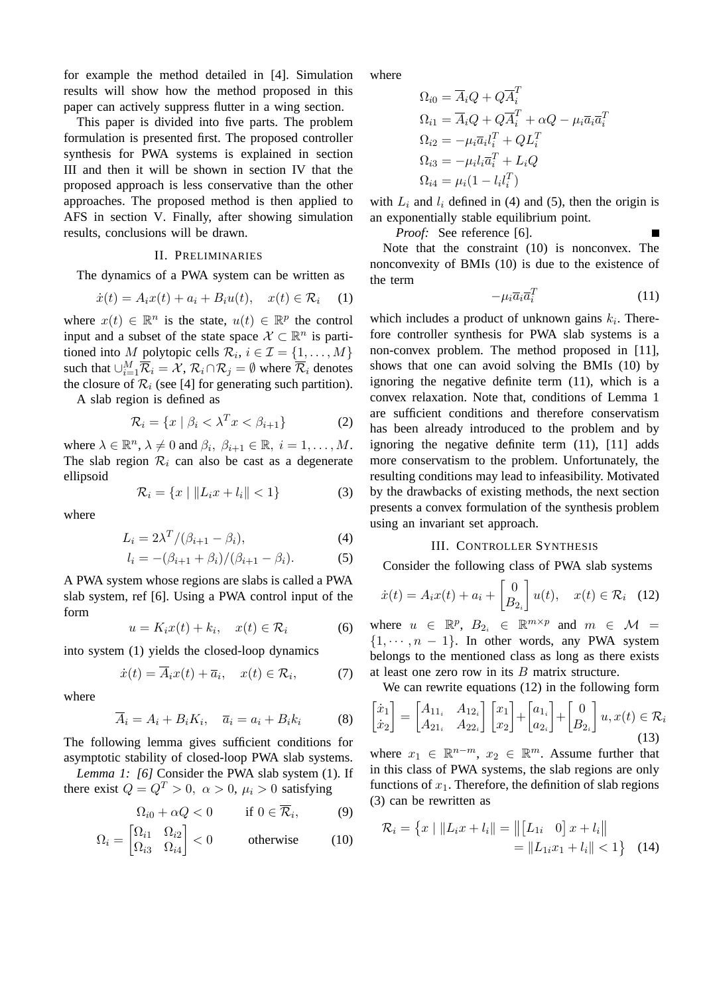for example the method detailed in [4]. Simulation results will show how the method proposed in this paper can actively suppress flutter in a wing section.

This paper is divided into five parts. The problem formulation is presented first. The proposed controller synthesis for PWA systems is explained in section III and then it will be shown in section IV that the proposed approach is less conservative than the other approaches. The proposed method is then applied to AFS in section V. Finally, after showing simulation results, conclusions will be drawn.

# II. PRELIMINARIES

The dynamics of a PWA system can be written as

$$
\dot{x}(t) = A_i x(t) + a_i + B_i u(t), \quad x(t) \in \mathcal{R}_i \quad (1)
$$

where  $x(t) \in \mathbb{R}^n$  is the state,  $u(t) \in \mathbb{R}^p$  the control input and a subset of the state space  $\mathcal{X} \subset \mathbb{R}^n$  is partitioned into M polytopic cells  $\mathcal{R}_i$ ,  $i \in \mathcal{I} = \{1, \dots, M\}$ such that  $\cup_{i=1}^M \overline{\mathcal{R}}_i = \mathcal{X}, \mathcal{R}_i \cap \mathcal{R}_j = \emptyset$  where  $\overline{\mathcal{R}}_i$  denotes the closure of  $\mathcal{R}_i$  (see [4] for generating such partition).

A slab region is defined as

$$
\mathcal{R}_i = \{x \mid \beta_i < \lambda^T x < \beta_{i+1}\} \tag{2}
$$

where  $\lambda \in \mathbb{R}^n$ ,  $\lambda \neq 0$  and  $\beta_i$ ,  $\beta_{i+1} \in \mathbb{R}$ ,  $i = 1, ..., M$ . The slab region  $\mathcal{R}_i$  can also be cast as a degenerate ellipsoid

$$
\mathcal{R}_i = \{x \mid ||L_ix + l_i|| < 1\}
$$
 (3)

where

$$
L_i = 2\lambda^T / (\beta_{i+1} - \beta_i),\tag{4}
$$

$$
l_i = -(\beta_{i+1} + \beta_i) / (\beta_{i+1} - \beta_i).
$$
 (5)

A PWA system whose regions are slabs is called a PWA slab system, ref [6]. Using a PWA control input of the form

$$
u = K_i x(t) + k_i, \quad x(t) \in \mathcal{R}_i \tag{6}
$$

into system (1) yields the closed-loop dynamics

$$
\dot{x}(t) = \overline{A}_i x(t) + \overline{a}_i, \quad x(t) \in \mathcal{R}_i,
$$
 (7)

where

$$
\overline{A}_i = A_i + B_i K_i, \quad \overline{a}_i = a_i + B_i k_i \tag{8}
$$

The following lemma gives sufficient conditions for asymptotic stability of closed-loop PWA slab systems.

*Lemma 1: [6]* Consider the PWA slab system (1). If there exist  $Q = Q^T > 0$ ,  $\alpha > 0$ ,  $\mu_i > 0$  satisfying

$$
\Omega_{i0} + \alpha Q < 0 \qquad \text{if } 0 \in \overline{\mathcal{R}}_i,\tag{9}
$$

$$
\Omega_i = \begin{bmatrix} \Omega_{i1} & \Omega_{i2} \\ \Omega_{i3} & \Omega_{i4} \end{bmatrix} < 0
$$
 otherwise (10)

where

$$
\Omega_{i0} = \overline{A}_i Q + Q \overline{A}_i^T
$$
  
\n
$$
\Omega_{i1} = \overline{A}_i Q + Q \overline{A}_i^T + \alpha Q - \mu_i \overline{a}_i \overline{a}_i^T
$$
  
\n
$$
\Omega_{i2} = -\mu_i \overline{a}_i l_i^T + Q L_i^T
$$
  
\n
$$
\Omega_{i3} = -\mu_i l_i \overline{a}_i^T + L_i Q
$$
  
\n
$$
\Omega_{i4} = \mu_i (1 - l_i l_i^T)
$$

with  $L_i$  and  $l_i$  defined in (4) and (5), then the origin is an exponentially stable equilibrium point.

*Proof:* See reference [6].

Note that the constraint (10) is nonconvex. The nonconvexity of BMIs (10) is due to the existence of the term

$$
-\mu_i \overline{a}_i \overline{a}_i^T \tag{11}
$$

which includes a product of unknown gains  $k_i$ . Therefore controller synthesis for PWA slab systems is a non-convex problem. The method proposed in [11], shows that one can avoid solving the BMIs (10) by ignoring the negative definite term (11), which is a convex relaxation. Note that, conditions of Lemma 1 are sufficient conditions and therefore conservatism has been already introduced to the problem and by ignoring the negative definite term (11), [11] adds more conservatism to the problem. Unfortunately, the resulting conditions may lead to infeasibility. Motivated by the drawbacks of existing methods, the next section presents a convex formulation of the synthesis problem using an invariant set approach.

#### III. CONTROLLER SYNTHESIS

Consider the following class of PWA slab systems

$$
\dot{x}(t) = A_i x(t) + a_i + \begin{bmatrix} 0 \\ B_{2_i} \end{bmatrix} u(t), \quad x(t) \in \mathcal{R}_i \quad (12)
$$

where  $u \in \mathbb{R}^p$ ,  $B_{2_i} \in \mathbb{R}^{m \times p}$  and  $m \in \mathcal{M}$  =  $\{1, \dots, n-1\}$ . In other words, any PWA system belongs to the mentioned class as long as there exists at least one zero row in its B matrix structure.

We can rewrite equations (12) in the following form

$$
\begin{bmatrix} \dot{x}_1 \\ \dot{x}_2 \end{bmatrix} = \begin{bmatrix} A_{11_i} & A_{12_i} \\ A_{21_i} & A_{22_i} \end{bmatrix} \begin{bmatrix} x_1 \\ x_2 \end{bmatrix} + \begin{bmatrix} a_{1_i} \\ a_{2_i} \end{bmatrix} + \begin{bmatrix} 0 \\ B_{2_i} \end{bmatrix} u, x(t) \in \mathcal{R}_i
$$
\n(13)

where  $x_1 \in \mathbb{R}^{n-m}$ ,  $x_2 \in \mathbb{R}^m$ . Assume further that in this class of PWA systems, the slab regions are only functions of  $x_1$ . Therefore, the definition of slab regions (3) can be rewritten as

$$
\mathcal{R}_{i} = \{x \mid ||L_{i}x + l_{i}|| = ||[L_{1i} \quad 0] \quad x + l_{i}||
$$
  
=  $||L_{1i}x_{1} + l_{i}|| < 1\}$  (14)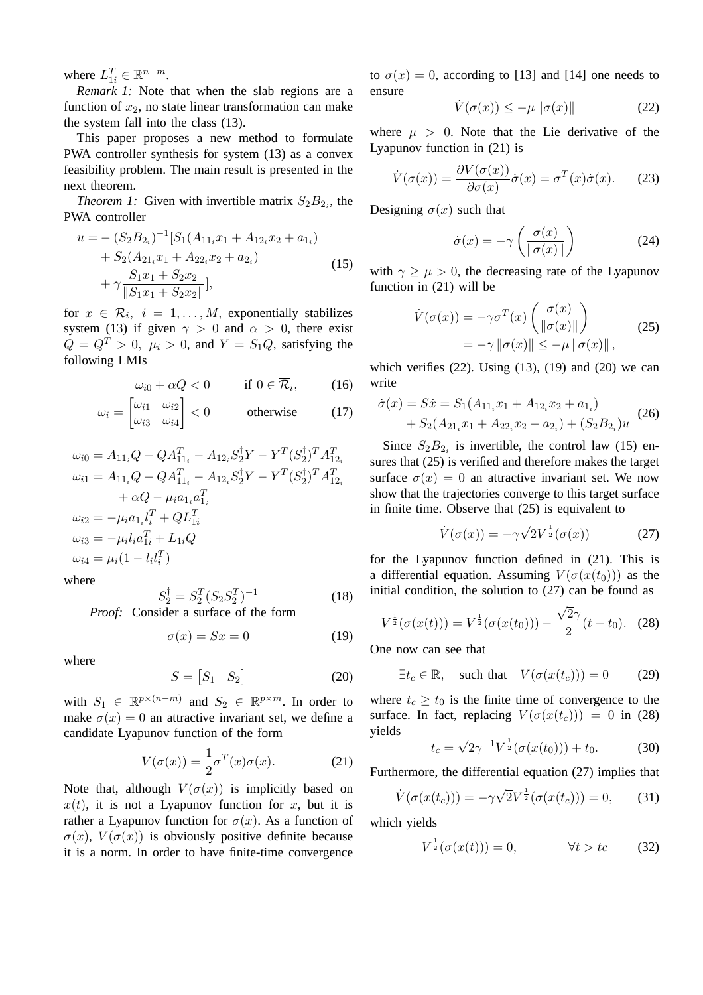where  $L_{1i}^T \in \mathbb{R}^{n-m}$ .

*Remark 1:* Note that when the slab regions are a function of  $x_2$ , no state linear transformation can make the system fall into the class (13).

This paper proposes a new method to formulate PWA controller synthesis for system (13) as a convex feasibility problem. The main result is presented in the next theorem.

*Theorem 1:* Given with invertible matrix  $S_2B_{2_i}$ , the PWA controller

$$
u = -(S_2 B_{2_i})^{-1} [S_1 (A_{11_i} x_1 + A_{12_i} x_2 + a_{1_i})
$$
  
+  $S_2 (A_{21_i} x_1 + A_{22_i} x_2 + a_{2_i})$   
+  $\gamma \frac{S_1 x_1 + S_2 x_2}{\|S_1 x_1 + S_2 x_2\|},$  (15)

for  $x \in \mathcal{R}_i$ ,  $i = 1, ..., M$ , exponentially stabilizes system (13) if given  $\gamma > 0$  and  $\alpha > 0$ , there exist  $Q = Q^T > 0$ ,  $\mu_i > 0$ , and  $Y = S_1 Q$ , satisfying the following LMIs

$$
\omega_{i0} + \alpha Q < 0 \qquad \text{if } 0 \in \overline{\mathcal{R}}_i,\qquad(16)
$$

$$
\omega_i = \begin{bmatrix} \omega_{i1} & \omega_{i2} \\ \omega_{i3} & \omega_{i4} \end{bmatrix} < 0
$$
 otherwise (17)

$$
\omega_{i0} = A_{11_i}Q + QA_{11_i}^T - A_{12_i}S_2^{\dagger}Y - Y^T(S_2^{\dagger})^T A_{12_i}^T
$$
  
\n
$$
\omega_{i1} = A_{11_i}Q + QA_{11_i}^T - A_{12_i}S_2^{\dagger}Y - Y^T(S_2^{\dagger})^T A_{12_i}^T
$$
  
\n
$$
+ \alpha Q - \mu_i a_{1_i}a_{1_i}^T
$$
  
\n
$$
\omega_{i2} = -\mu_i a_{1_i}l_i^T + QL_{1i}^T
$$
  
\n
$$
\omega_{i3} = -\mu_i l_i a_{1i}^T + L_{1i}Q
$$
  
\n
$$
\omega_{i4} = \mu_i (1 - l_i l_i^T)
$$

where

$$
S_2^{\dagger} = S_2^T (S_2 S_2^T)^{-1}
$$
\n(18)

\nconsider a surface of the form

*Proof:* Consider a surface of the form

$$
\sigma(x) = Sx = 0 \tag{19}
$$

where

$$
S = \begin{bmatrix} S_1 & S_2 \end{bmatrix} \tag{20}
$$

with  $S_1 \in \mathbb{R}^{p \times (n-m)}$  and  $S_2 \in \mathbb{R}^{p \times m}$ . In order to make  $\sigma(x) = 0$  an attractive invariant set, we define a candidate Lyapunov function of the form

$$
V(\sigma(x)) = \frac{1}{2}\sigma^T(x)\sigma(x). \tag{21}
$$

Note that, although  $V(\sigma(x))$  is implicitly based on  $x(t)$ , it is not a Lyapunov function for x, but it is rather a Lyapunov function for  $\sigma(x)$ . As a function of  $\sigma(x)$ ,  $V(\sigma(x))$  is obviously positive definite because it is a norm. In order to have finite-time convergence to  $\sigma(x) = 0$ , according to [13] and [14] one needs to ensure

$$
\dot{V}(\sigma(x)) \le -\mu \|\sigma(x)\| \tag{22}
$$

where  $\mu > 0$ . Note that the Lie derivative of the Lyapunov function in (21) is

$$
\dot{V}(\sigma(x)) = \frac{\partial V(\sigma(x))}{\partial \sigma(x)} \dot{\sigma}(x) = \sigma^T(x) \dot{\sigma}(x). \tag{23}
$$

Designing  $\sigma(x)$  such that

$$
\dot{\sigma}(x) = -\gamma \left( \frac{\sigma(x)}{\|\sigma(x)\|} \right) \tag{24}
$$

with  $\gamma \geq \mu > 0$ , the decreasing rate of the Lyapunov function in (21) will be

$$
\dot{V}(\sigma(x)) = -\gamma \sigma^T(x) \left( \frac{\sigma(x)}{\|\sigma(x)\|} \right)
$$
  
= -\gamma \|\sigma(x)\| \le -\mu \|\sigma(x)\|, (25)

which verifies  $(22)$ . Using  $(13)$ ,  $(19)$  and  $(20)$  we can write

$$
\dot{\sigma}(x) = S\dot{x} = S_1(A_{11_i}x_1 + A_{12_i}x_2 + a_{1i}) + S_2(A_{21_i}x_1 + A_{22_i}x_2 + a_{2i}) + (S_2B_{2i})u
$$
 (26)

Since  $S_2 B_{2i}$  is invertible, the control law (15) ensures that (25) is verified and therefore makes the target surface  $\sigma(x) = 0$  an attractive invariant set. We now show that the trajectories converge to this target surface in finite time. Observe that (25) is equivalent to

$$
\dot{V}(\sigma(x)) = -\gamma \sqrt{2} V^{\frac{1}{2}}(\sigma(x))
$$
\n(27)

for the Lyapunov function defined in (21). This is a differential equation. Assuming  $V(\sigma(x(t_0)))$  as the initial condition, the solution to (27) can be found as

$$
V^{\frac{1}{2}}(\sigma(x(t))) = V^{\frac{1}{2}}(\sigma(x(t_0))) - \frac{\sqrt{2}\gamma}{2}(t - t_0). \quad (28)
$$

One now can see that

$$
\exists t_c \in \mathbb{R}, \quad \text{such that} \quad V(\sigma(x(t_c))) = 0 \tag{29}
$$

where  $t_c \geq t_0$  is the finite time of convergence to the surface. In fact, replacing  $V(\sigma(x(t_c))) = 0$  in (28) yields

$$
t_c = \sqrt{2}\gamma^{-1}V^{\frac{1}{2}}(\sigma(x(t_0))) + t_0.
$$
 (30)

Furthermore, the differential equation (27) implies that

$$
\dot{V}(\sigma(x(t_c))) = -\gamma \sqrt{2} V^{\frac{1}{2}}(\sigma(x(t_c))) = 0, \qquad (31)
$$

which yields

$$
V^{\frac{1}{2}}(\sigma(x(t))) = 0, \qquad \forall t > tc \qquad (32)
$$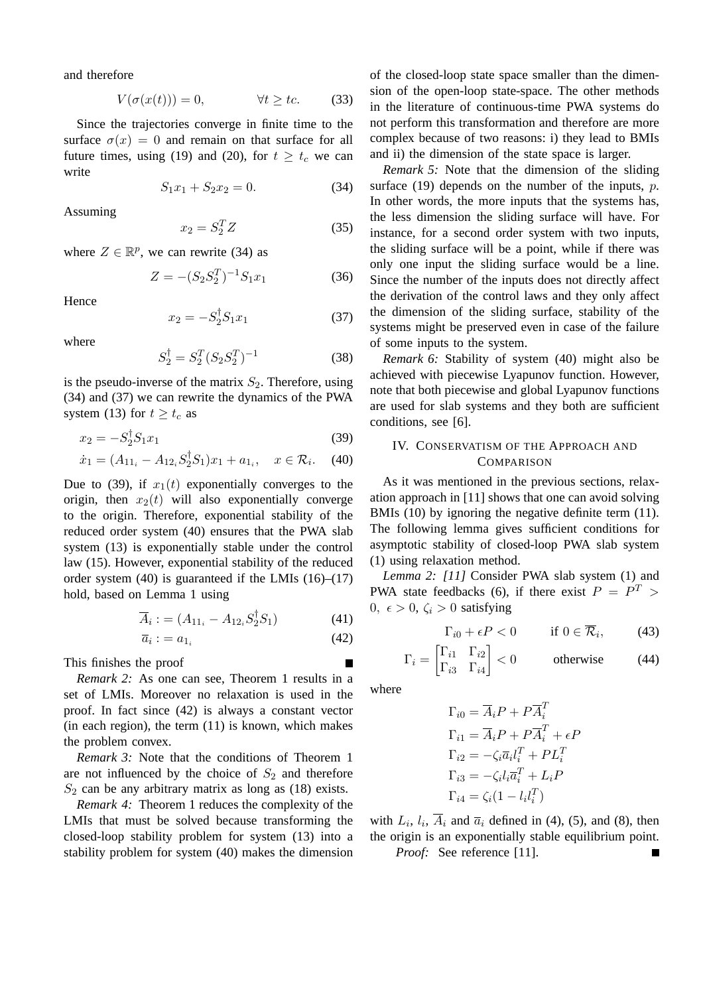and therefore

$$
V(\sigma(x(t))) = 0, \qquad \forall t \geq tc. \tag{33}
$$

Since the trajectories converge in finite time to the surface  $\sigma(x) = 0$  and remain on that surface for all future times, using (19) and (20), for  $t \geq t_c$  we can write

$$
S_1 x_1 + S_2 x_2 = 0. \t\t(34)
$$

Assuming

$$
x_2 = S_2^T Z \tag{35}
$$

where  $Z \in \mathbb{R}^p$ , we can rewrite (34) as

$$
Z = -(S_2 S_2^T)^{-1} S_1 x_1 \tag{36}
$$

Hence

$$
x_2 = -S_2^{\dagger} S_1 x_1 \tag{37}
$$

where

$$
S_2^{\dagger} = S_2^T (S_2 S_2^T)^{-1} \tag{38}
$$

is the pseudo-inverse of the matrix  $S_2$ . Therefore, using (34) and (37) we can rewrite the dynamics of the PWA system (13) for  $t \geq t_c$  as

$$
x_2 = -S_2^{\dagger} S_1 x_1 \tag{39}
$$

$$
\dot{x}_1 = (A_{11_i} - A_{12_i} S_2^{\dagger} S_1) x_1 + a_{1_i}, \quad x \in \mathcal{R}_i. \tag{40}
$$

Due to (39), if  $x_1(t)$  exponentially converges to the origin, then  $x_2(t)$  will also exponentially converge to the origin. Therefore, exponential stability of the reduced order system (40) ensures that the PWA slab system (13) is exponentially stable under the control law (15). However, exponential stability of the reduced order system  $(40)$  is guaranteed if the LMIs  $(16)$ – $(17)$ hold, based on Lemma 1 using

$$
\overline{A}_i := (A_{11_i} - A_{12_i} S_2^{\dagger} S_1) \tag{41}
$$

$$
\overline{a}_i := a_{1_i} \tag{42}
$$

This finishes the proof

*Remark 2:* As one can see, Theorem 1 results in a set of LMIs. Moreover no relaxation is used in the proof. In fact since (42) is always a constant vector (in each region), the term (11) is known, which makes the problem convex.

*Remark 3:* Note that the conditions of Theorem 1 are not influenced by the choice of  $S_2$  and therefore  $S_2$  can be any arbitrary matrix as long as (18) exists.

*Remark 4:* Theorem 1 reduces the complexity of the LMIs that must be solved because transforming the closed-loop stability problem for system (13) into a stability problem for system (40) makes the dimension of the closed-loop state space smaller than the dimension of the open-loop state-space. The other methods in the literature of continuous-time PWA systems do not perform this transformation and therefore are more complex because of two reasons: i) they lead to BMIs and ii) the dimension of the state space is larger.

*Remark 5:* Note that the dimension of the sliding surface  $(19)$  depends on the number of the inputs, p. In other words, the more inputs that the systems has, the less dimension the sliding surface will have. For instance, for a second order system with two inputs, the sliding surface will be a point, while if there was only one input the sliding surface would be a line. Since the number of the inputs does not directly affect the derivation of the control laws and they only affect the dimension of the sliding surface, stability of the systems might be preserved even in case of the failure of some inputs to the system.

*Remark 6:* Stability of system (40) might also be achieved with piecewise Lyapunov function. However, note that both piecewise and global Lyapunov functions are used for slab systems and they both are sufficient conditions, see [6].

# IV. CONSERVATISM OF THE APPROACH AND **COMPARISON**

As it was mentioned in the previous sections, relaxation approach in [11] shows that one can avoid solving BMIs (10) by ignoring the negative definite term (11). The following lemma gives sufficient conditions for asymptotic stability of closed-loop PWA slab system (1) using relaxation method.

*Lemma 2: [11]* Consider PWA slab system (1) and PWA state feedbacks (6), if there exist  $P = P^T >$ 0,  $\epsilon > 0$ ,  $\zeta_i > 0$  satisfying

$$
\Gamma_{i0} + \epsilon P < 0 \qquad \text{if } 0 \in \overline{\mathcal{R}}_i,\tag{43}
$$

$$
\Gamma_i = \begin{bmatrix} \Gamma_{i1} & \Gamma_{i2} \\ \Gamma_{i3} & \Gamma_{i4} \end{bmatrix} < 0
$$
 otherwise (44)

where

$$
\Gamma_{i0} = \overline{A}_i P + P \overline{A}_i^T
$$
  
\n
$$
\Gamma_{i1} = \overline{A}_i P + P \overline{A}_i^T + \epsilon P
$$
  
\n
$$
\Gamma_{i2} = -\zeta_i \overline{a}_i l_i^T + P L_i^T
$$
  
\n
$$
\Gamma_{i3} = -\zeta_i l_i \overline{a}_i^T + L_i P
$$
  
\n
$$
\Gamma_{i4} = \zeta_i (1 - l_i l_i^T)
$$

with  $L_i$ ,  $l_i$ ,  $A_i$  and  $\overline{a}_i$  defined in (4), (5), and (8), then the origin is an exponentially stable equilibrium point. *Proof:* See reference [11].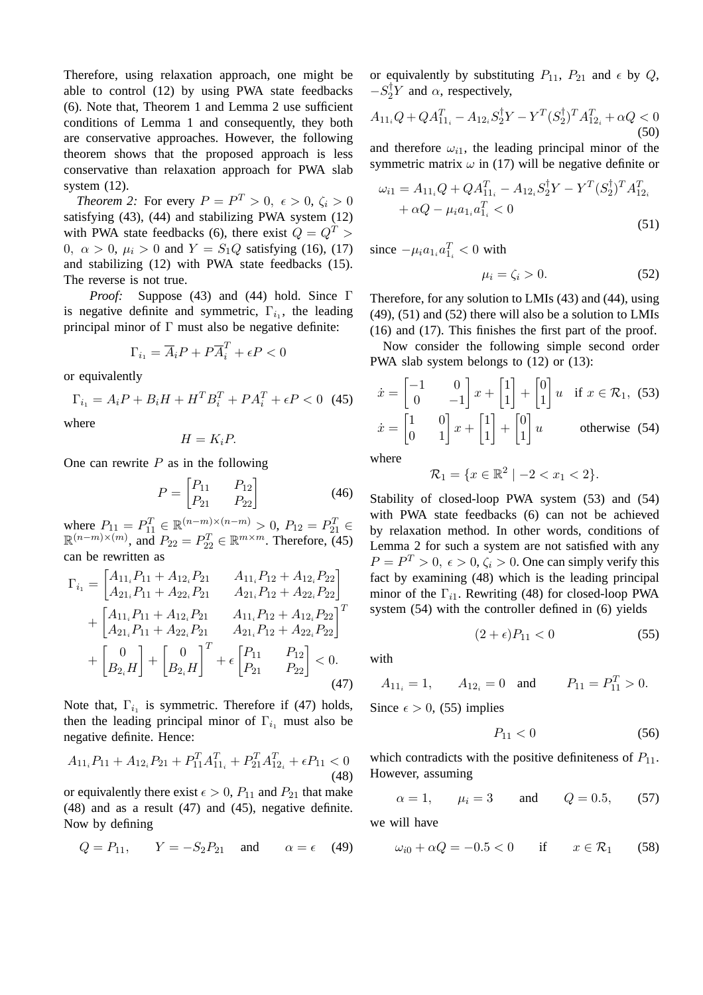Therefore, using relaxation approach, one might be able to control (12) by using PWA state feedbacks (6). Note that, Theorem 1 and Lemma 2 use sufficient conditions of Lemma 1 and consequently, they both are conservative approaches. However, the following theorem shows that the proposed approach is less conservative than relaxation approach for PWA slab system (12).

*Theorem 2:* For every  $P = P^T > 0, \ \epsilon > 0, \ \zeta_i > 0$ satisfying (43), (44) and stabilizing PWA system (12) with PWA state feedbacks (6), there exist  $Q = Q^T$ 0,  $\alpha > 0$ ,  $\mu_i > 0$  and  $Y = S_1 Q$  satisfying (16), (17) and stabilizing (12) with PWA state feedbacks (15). The reverse is not true.

*Proof:* Suppose (43) and (44) hold. Since Γ is negative definite and symmetric,  $\Gamma_{i_1}$ , the leading principal minor of  $\Gamma$  must also be negative definite:

$$
\Gamma_{i_1} = \overline{A}_i P + P \overline{A}_i^T + \epsilon P < 0
$$

or equivalently

$$
\Gamma_{i_1} = A_i P + B_i H + H^T B_i^T + P A_i^T + \epsilon P < 0 \tag{45}
$$
\nwhere

where

$$
H=K_iP.
$$

One can rewrite  $P$  as in the following

$$
P = \begin{bmatrix} P_{11} & P_{12} \\ P_{21} & P_{22} \end{bmatrix} \tag{46}
$$

where  $P_{11} = P_{11}^T \in \mathbb{R}^{(n-m)\times(n-m)} > 0$ ,  $P_{12} = P_{21}^T \in \mathbb{R}^{(n-m)\times(m)}$ , and  $P_{22} = P_{22}^T \in \mathbb{R}^{m\times m}$ . Therefore, (45) can be rewritten as

$$
\Gamma_{i_1} = \begin{bmatrix} A_{11_i} P_{11} + A_{12_i} P_{21} & A_{11_i} P_{12} + A_{12_i} P_{22} \\ A_{21_i} P_{11} + A_{22_i} P_{21} & A_{21_i} P_{12} + A_{22_i} P_{22} \end{bmatrix} + \begin{bmatrix} A_{11_i} P_{11} + A_{12_i} P_{21} & A_{11_i} P_{12} + A_{12_i} P_{22} \\ A_{21_i} P_{11} + A_{22_i} P_{21} & A_{21_i} P_{12} + A_{22_i} P_{22} \end{bmatrix}^T + \begin{bmatrix} 0 \\ B_{2_i} H \end{bmatrix} + \begin{bmatrix} 0 \\ B_{2_i} H \end{bmatrix}^T + \epsilon \begin{bmatrix} P_{11} & P_{12} \\ P_{21} & P_{22} \end{bmatrix} < 0.
$$
\n(47)

Note that,  $\Gamma_{i_1}$  is symmetric. Therefore if (47) holds, then the leading principal minor of  $\Gamma_{i_1}$  must also be negative definite. Hence:

$$
A_{11_i}P_{11} + A_{12_i}P_{21} + P_{11}^T A_{11_i}^T + P_{21}^T A_{12_i}^T + \epsilon P_{11} < 0 \tag{48}
$$

or equivalently there exist  $\epsilon > 0$ ,  $P_{11}$  and  $P_{21}$  that make (48) and as a result (47) and (45), negative definite. Now by defining

$$
Q = P_{11}, \qquad Y = -S_2 P_{21} \quad \text{and} \qquad \alpha = \epsilon \quad (49)
$$

or equivalently by substituting  $P_{11}$ ,  $P_{21}$  and  $\epsilon$  by  $Q$ ,  $-S_2^{\dagger} \hat{Y}$  and  $\alpha$ , respectively,

$$
A_{11_i}Q + QA_{11_i}^T - A_{12_i}S_2^{\dagger}Y - Y^T(S_2^{\dagger})^T A_{12_i}^T + \alpha Q < 0
$$
\n(50)

and therefore  $\omega_{i1}$ , the leading principal minor of the symmetric matrix  $\omega$  in (17) will be negative definite or

$$
\omega_{i1} = A_{11_i}Q + QA_{11_i}^T - A_{12_i}S_2^{\dagger}Y - Y^T(S_2^{\dagger})^T A_{12_i}^T + \alpha Q - \mu_i a_{1_i} a_{1_i}^T < 0
$$
\n(51)

since  $-\mu_i a_{1_i} a_{1_i}^T < 0$  with

$$
\mu_i = \zeta_i > 0. \tag{52}
$$

Therefore, for any solution to LMIs (43) and (44), using (49), (51) and (52) there will also be a solution to LMIs (16) and (17). This finishes the first part of the proof.

Now consider the following simple second order PWA slab system belongs to  $(12)$  or  $(13)$ :

$$
\dot{x} = \begin{bmatrix} -1 & 0 \\ 0 & -1 \end{bmatrix} x + \begin{bmatrix} 1 \\ 1 \end{bmatrix} + \begin{bmatrix} 0 \\ 1 \end{bmatrix} u \quad \text{if } x \in \mathcal{R}_1, \text{ (53)}
$$
\n
$$
\dot{x} = \begin{bmatrix} 1 & 0 \\ 0 & 1 \end{bmatrix} x + \begin{bmatrix} 1 \\ 1 \end{bmatrix} + \begin{bmatrix} 0 \\ 1 \end{bmatrix} u \quad \text{otherwise (54)}
$$

where

$$
\mathcal{R}_1 = \{ x \in \mathbb{R}^2 \mid -2 < x_1 < 2 \}.
$$

Stability of closed-loop PWA system (53) and (54) with PWA state feedbacks (6) can not be achieved by relaxation method. In other words, conditions of Lemma 2 for such a system are not satisfied with any  $P = P<sup>T</sup> > 0$ ,  $\epsilon > 0$ ,  $\zeta_i > 0$ . One can simply verify this fact by examining (48) which is the leading principal minor of the  $\Gamma_{i1}$ . Rewriting (48) for closed-loop PWA system (54) with the controller defined in (6) yields

$$
(2+\epsilon)P_{11} < 0 \tag{55}
$$

with

$$
A_{11_i} = 1
$$
,  $A_{12_i} = 0$  and  $P_{11} = P_{11}^T > 0$ .

Since  $\epsilon > 0$ , (55) implies

$$
P_{11} < 0 \tag{56}
$$

which contradicts with the positive definiteness of  $P_{11}$ . However, assuming

$$
\alpha = 1,
$$
\n $\mu_i = 3$  and  $Q = 0.5,$ \n(57)

we will have

$$
\omega_{i0} + \alpha Q = -0.5 < 0 \qquad \text{if} \qquad x \in \mathcal{R}_1 \tag{58}
$$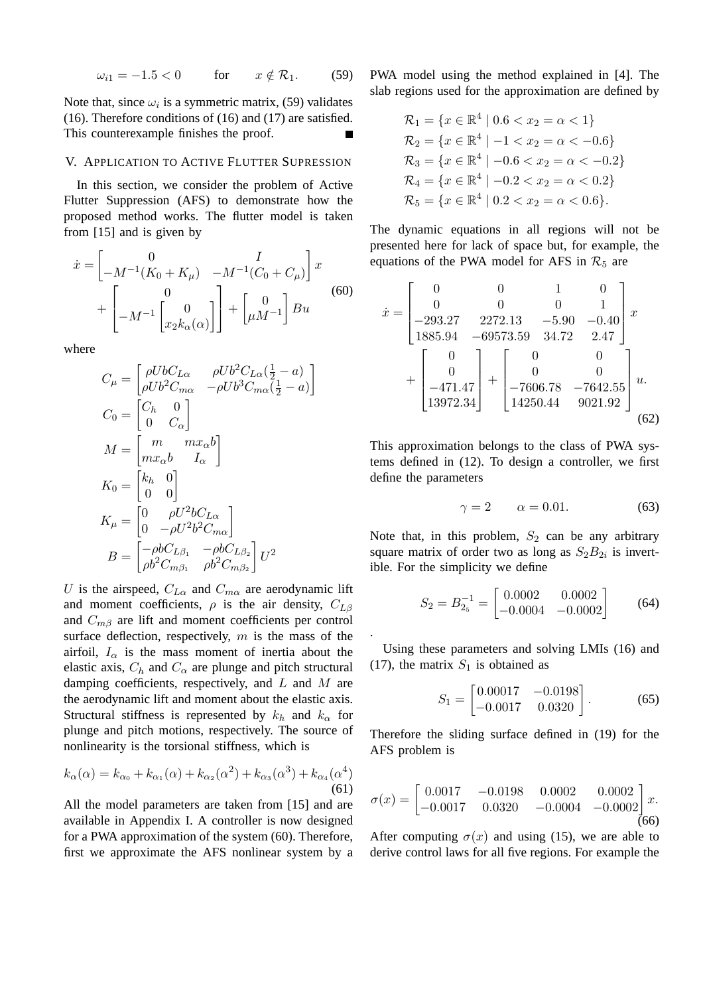$$
\omega_{i1} = -1.5 < 0 \qquad \text{for} \qquad x \notin \mathcal{R}_1. \tag{59}
$$

Note that, since  $\omega_i$  is a symmetric matrix, (59) validates (16). Therefore conditions of (16) and (17) are satisfied. This counterexample finishes the proof.

## V. APPLICATION TO ACTIVE FLUTTER SUPRESSION

In this section, we consider the problem of Active Flutter Suppression (AFS) to demonstrate how the proposed method works. The flutter model is taken from [15] and is given by

$$
\dot{x} = \begin{bmatrix} 0 & I \\ -M^{-1}(K_0 + K_\mu) & -M^{-1}(C_0 + C_\mu) \end{bmatrix} x \n+ \begin{bmatrix} 0 & I \\ -M^{-1} \begin{bmatrix} 0 \\ x_2 k_\alpha(\alpha) \end{bmatrix} \end{bmatrix} + \begin{bmatrix} 0 \\ \mu M^{-1} \end{bmatrix} B u
$$
\n(60)

1

.

where

$$
C_{\mu} = \begin{bmatrix} \rho U b C_{L\alpha} & \rho U b^2 C_{L\alpha} (\frac{1}{2} - a) \\ \rho U b^2 C_{m\alpha} & -\rho U b^3 C_{m\alpha} (\frac{1}{2} - a) \end{bmatrix}
$$
  
\n
$$
C_0 = \begin{bmatrix} C_h & 0 \\ 0 & C_{\alpha} \end{bmatrix}
$$
  
\n
$$
M = \begin{bmatrix} m & mx_{\alpha}b \\ mx_{\alpha}b & I_{\alpha} \end{bmatrix}
$$
  
\n
$$
K_0 = \begin{bmatrix} k_h & 0 \\ 0 & 0 \end{bmatrix}
$$
  
\n
$$
K_{\mu} = \begin{bmatrix} 0 & \rho U^2 b C_{L\alpha} \\ 0 & -\rho U^2 b^2 C_{m\alpha} \end{bmatrix}
$$
  
\n
$$
B = \begin{bmatrix} -\rho b C_{L\beta_1} & -\rho b C_{L\beta_2} \\ \rho b^2 C_{m\beta_1} & \rho b^2 C_{m\beta_2} \end{bmatrix} U^2
$$

U is the airspeed,  $C_{L\alpha}$  and  $C_{m\alpha}$  are aerodynamic lift and moment coefficients,  $\rho$  is the air density,  $C_{L\beta}$ and  $C_{m\beta}$  are lift and moment coefficients per control surface deflection, respectively,  $m$  is the mass of the airfoil,  $I_{\alpha}$  is the mass moment of inertia about the elastic axis,  $C_h$  and  $C_\alpha$  are plunge and pitch structural damping coefficients, respectively, and  $L$  and  $M$  are the aerodynamic lift and moment about the elastic axis. Structural stiffness is represented by  $k_h$  and  $k_\alpha$  for plunge and pitch motions, respectively. The source of nonlinearity is the torsional stiffness, which is

$$
k_{\alpha}(\alpha) = k_{\alpha_0} + k_{\alpha_1}(\alpha) + k_{\alpha_2}(\alpha^2) + k_{\alpha_3}(\alpha^3) + k_{\alpha_4}(\alpha^4)
$$
\n(61)

All the model parameters are taken from [15] and are available in Appendix I. A controller is now designed for a PWA approximation of the system (60). Therefore, first we approximate the AFS nonlinear system by a PWA model using the method explained in [4]. The slab regions used for the approximation are defined by

$$
\mathcal{R}_1 = \{x \in \mathbb{R}^4 \mid 0.6 < x_2 = \alpha < 1\}
$$
\n
$$
\mathcal{R}_2 = \{x \in \mathbb{R}^4 \mid -1 < x_2 = \alpha < -0.6\}
$$
\n
$$
\mathcal{R}_3 = \{x \in \mathbb{R}^4 \mid -0.6 < x_2 = \alpha < -0.2\}
$$
\n
$$
\mathcal{R}_4 = \{x \in \mathbb{R}^4 \mid -0.2 < x_2 = \alpha < 0.2\}
$$
\n
$$
\mathcal{R}_5 = \{x \in \mathbb{R}^4 \mid 0.2 < x_2 = \alpha < 0.6\}.
$$

The dynamic equations in all regions will not be presented here for lack of space but, for example, the equations of the PWA model for AFS in  $\mathcal{R}_5$  are

$$
\dot{x} = \begin{bmatrix}\n0 & 0 & 1 & 0 \\
0 & 0 & 0 & 1 \\
-293.27 & 2272.13 & -5.90 & -0.40 \\
1885.94 & -69573.59 & 34.72 & 2.47\n\end{bmatrix} x
$$
\n
$$
+ \begin{bmatrix}\n0 \\
0 \\
-471.47 \\
13972.34\n\end{bmatrix} + \begin{bmatrix}\n0 & 0 \\
0 & 0 \\
-7606.78 & -7642.55 \\
14250.44 & 9021.92\n\end{bmatrix} u.
$$
\n(62)

This approximation belongs to the class of PWA systems defined in (12). To design a controller, we first define the parameters

$$
\gamma = 2 \qquad \alpha = 0.01. \tag{63}
$$

Note that, in this problem,  $S_2$  can be any arbitrary square matrix of order two as long as  $S_2B_{2i}$  is invertible. For the simplicity we define

$$
S_2 = B_{2_5}^{-1} = \begin{bmatrix} 0.0002 & 0.0002 \\ -0.0004 & -0.0002 \end{bmatrix}
$$
 (64)

Using these parameters and solving LMIs (16) and (17), the matrix  $S_1$  is obtained as

$$
S_1 = \begin{bmatrix} 0.00017 & -0.0198 \\ -0.0017 & 0.0320 \end{bmatrix}.
$$
 (65)

Therefore the sliding surface defined in (19) for the AFS problem is

$$
\sigma(x) = \begin{bmatrix} 0.0017 & -0.0198 & 0.0002 & 0.0002 \\ -0.0017 & 0.0320 & -0.0004 & -0.0002 \end{bmatrix} x.
$$
\n(66)

After computing  $\sigma(x)$  and using (15), we are able to derive control laws for all five regions. For example the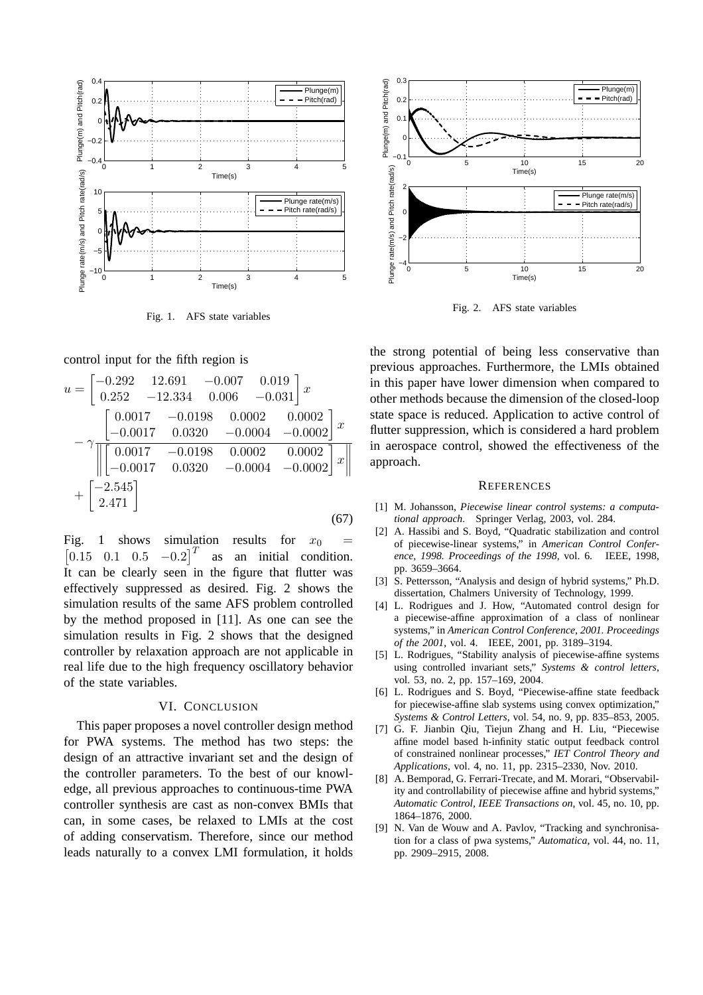

Fig. 1. AFS state variables

control input for the fifth region is

$$
u = \begin{bmatrix} -0.292 & 12.691 & -0.007 & 0.019 \\ 0.252 & -12.334 & 0.006 & -0.031 \end{bmatrix} x
$$

$$
- \gamma \frac{\begin{bmatrix} 0.0017 & -0.0198 & 0.0002 & 0.0002 \\ -0.0017 & 0.0320 & -0.0004 & -0.0002 \end{bmatrix} x}{\left\| \begin{bmatrix} 0.0017 & -0.0198 & 0.0002 & 0.0002 \\ -0.0017 & 0.0320 & -0.0004 & -0.0002 \end{bmatrix} x \right\|} + \begin{bmatrix} -2.545 \\ 2.471 \end{bmatrix}
$$
(67)

Fig. 1 shows simulation results for  $x_0$  $\begin{bmatrix} 0.15 & 0.1 & 0.5 & -0.2 \end{bmatrix}$  $[-0.2]^{T}$ as an initial condition. It can be clearly seen in the figure that flutter was effectively suppressed as desired. Fig. 2 shows the simulation results of the same AFS problem controlled by the method proposed in [11]. As one can see the simulation results in Fig. 2 shows that the designed controller by relaxation approach are not applicable in real life due to the high frequency oscillatory behavior of the state variables.

## VI. CONCLUSION

This paper proposes a novel controller design method for PWA systems. The method has two steps: the design of an attractive invariant set and the design of the controller parameters. To the best of our knowledge, all previous approaches to continuous-time PWA controller synthesis are cast as non-convex BMIs that can, in some cases, be relaxed to LMIs at the cost of adding conservatism. Therefore, since our method leads naturally to a convex LMI formulation, it holds



Fig. 2. AFS state variables

the strong potential of being less conservative than previous approaches. Furthermore, the LMIs obtained in this paper have lower dimension when compared to other methods because the dimension of the closed-loop state space is reduced. Application to active control of flutter suppression, which is considered a hard problem in aerospace control, showed the effectiveness of the approach.

#### **REFERENCES**

- [1] M. Johansson, *Piecewise linear control systems: a computational approach*. Springer Verlag, 2003, vol. 284.
- [2] A. Hassibi and S. Boyd, "Quadratic stabilization and control of piecewise-linear systems," in *American Control Conference, 1998. Proceedings of the 1998*, vol. 6. IEEE, 1998, pp. 3659–3664.
- [3] S. Pettersson, "Analysis and design of hybrid systems," Ph.D. dissertation, Chalmers University of Technology, 1999.
- [4] L. Rodrigues and J. How, "Automated control design for a piecewise-affine approximation of a class of nonlinear systems," in *American Control Conference, 2001. Proceedings of the 2001*, vol. 4. IEEE, 2001, pp. 3189–3194.
- [5] L. Rodrigues, "Stability analysis of piecewise-affine systems using controlled invariant sets," *Systems & control letters*, vol. 53, no. 2, pp. 157–169, 2004.
- [6] L. Rodrigues and S. Boyd, "Piecewise-affine state feedback for piecewise-affine slab systems using convex optimization," *Systems & Control Letters*, vol. 54, no. 9, pp. 835–853, 2005.
- [7] G. F. Jianbin Qiu, Tiejun Zhang and H. Liu, "Piecewise affine model based h-infinity static output feedback control of constrained nonlinear processes," *IET Control Theory and Applications*, vol. 4, no. 11, pp. 2315–2330, Nov. 2010.
- [8] A. Bemporad, G. Ferrari-Trecate, and M. Morari, "Observability and controllability of piecewise affine and hybrid systems," *Automatic Control, IEEE Transactions on*, vol. 45, no. 10, pp. 1864–1876, 2000.
- [9] N. Van de Wouw and A. Pavlov, "Tracking and synchronisation for a class of pwa systems," *Automatica*, vol. 44, no. 11, pp. 2909–2915, 2008.